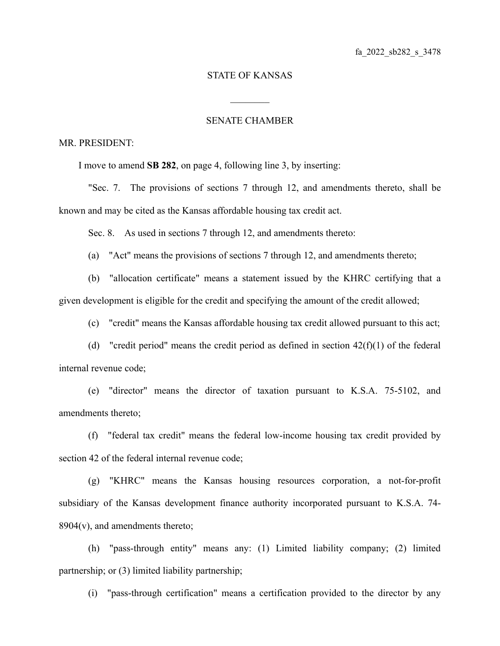## STATE OF KANSAS

 $\mathcal{L}_\text{max}$ 

## SENATE CHAMBER

## MR. PRESIDENT:

I move to amend **SB 282**, on page 4, following line 3, by inserting:

"Sec. 7. The provisions of sections 7 through 12, and amendments thereto, shall be known and may be cited as the Kansas affordable housing tax credit act.

Sec. 8. As used in sections 7 through 12, and amendments thereto:

(a) "Act" means the provisions of sections 7 through 12, and amendments thereto;

(b) "allocation certificate" means a statement issued by the KHRC certifying that a given development is eligible for the credit and specifying the amount of the credit allowed;

(c) "credit" means the Kansas affordable housing tax credit allowed pursuant to this act;

(d) "credit period" means the credit period as defined in section  $42(f)(1)$  of the federal internal revenue code;

(e) "director" means the director of taxation pursuant to K.S.A. 75-5102, and amendments thereto;

(f) "federal tax credit" means the federal low-income housing tax credit provided by section 42 of the federal internal revenue code;

(g) "KHRC" means the Kansas housing resources corporation, a not-for-profit subsidiary of the Kansas development finance authority incorporated pursuant to K.S.A. 74-  $8904(v)$ , and amendments thereto;

(h) "pass-through entity" means any: (1) Limited liability company; (2) limited partnership; or (3) limited liability partnership;

(i) "pass-through certification" means a certification provided to the director by any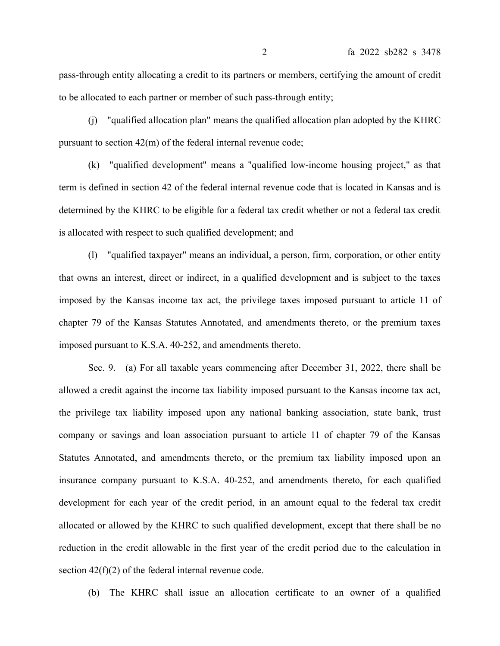pass-through entity allocating a credit to its partners or members, certifying the amount of credit to be allocated to each partner or member of such pass-through entity;

(j) "qualified allocation plan" means the qualified allocation plan adopted by the KHRC pursuant to section 42(m) of the federal internal revenue code;

(k) "qualified development" means a "qualified low-income housing project," as that term is defined in section 42 of the federal internal revenue code that is located in Kansas and is determined by the KHRC to be eligible for a federal tax credit whether or not a federal tax credit is allocated with respect to such qualified development; and

(l) "qualified taxpayer" means an individual, a person, firm, corporation, or other entity that owns an interest, direct or indirect, in a qualified development and is subject to the taxes imposed by the Kansas income tax act, the privilege taxes imposed pursuant to article 11 of chapter 79 of the Kansas Statutes Annotated, and amendments thereto, or the premium taxes imposed pursuant to K.S.A. 40-252, and amendments thereto.

Sec. 9. (a) For all taxable years commencing after December 31, 2022, there shall be allowed a credit against the income tax liability imposed pursuant to the Kansas income tax act, the privilege tax liability imposed upon any national banking association, state bank, trust company or savings and loan association pursuant to article 11 of chapter 79 of the Kansas Statutes Annotated, and amendments thereto, or the premium tax liability imposed upon an insurance company pursuant to K.S.A. 40-252, and amendments thereto, for each qualified development for each year of the credit period, in an amount equal to the federal tax credit allocated or allowed by the KHRC to such qualified development, except that there shall be no reduction in the credit allowable in the first year of the credit period due to the calculation in section 42(f)(2) of the federal internal revenue code.

(b) The KHRC shall issue an allocation certificate to an owner of a qualified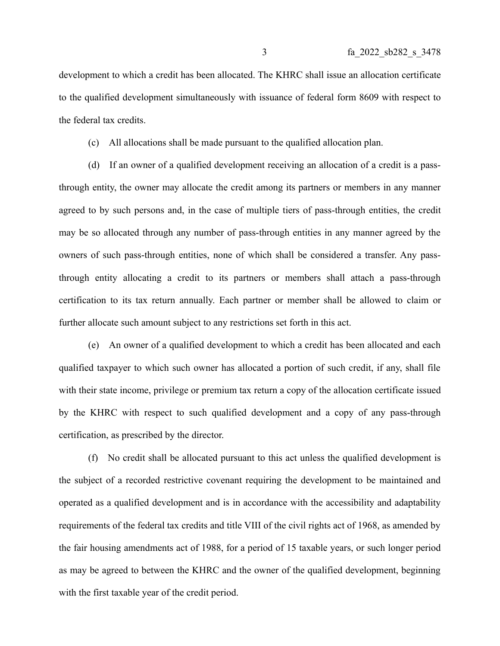development to which a credit has been allocated. The KHRC shall issue an allocation certificate to the qualified development simultaneously with issuance of federal form 8609 with respect to the federal tax credits.

(c) All allocations shall be made pursuant to the qualified allocation plan.

(d) If an owner of a qualified development receiving an allocation of a credit is a passthrough entity, the owner may allocate the credit among its partners or members in any manner agreed to by such persons and, in the case of multiple tiers of pass-through entities, the credit may be so allocated through any number of pass-through entities in any manner agreed by the owners of such pass-through entities, none of which shall be considered a transfer. Any passthrough entity allocating a credit to its partners or members shall attach a pass-through certification to its tax return annually. Each partner or member shall be allowed to claim or further allocate such amount subject to any restrictions set forth in this act.

(e) An owner of a qualified development to which a credit has been allocated and each qualified taxpayer to which such owner has allocated a portion of such credit, if any, shall file with their state income, privilege or premium tax return a copy of the allocation certificate issued by the KHRC with respect to such qualified development and a copy of any pass-through certification, as prescribed by the director.

(f) No credit shall be allocated pursuant to this act unless the qualified development is the subject of a recorded restrictive covenant requiring the development to be maintained and operated as a qualified development and is in accordance with the accessibility and adaptability requirements of the federal tax credits and title VIII of the civil rights act of 1968, as amended by the fair housing amendments act of 1988, for a period of 15 taxable years, or such longer period as may be agreed to between the KHRC and the owner of the qualified development, beginning with the first taxable year of the credit period.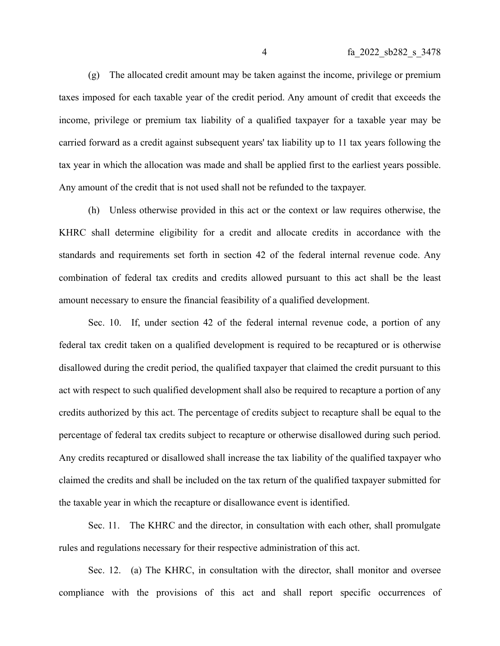(g) The allocated credit amount may be taken against the income, privilege or premium taxes imposed for each taxable year of the credit period. Any amount of credit that exceeds the income, privilege or premium tax liability of a qualified taxpayer for a taxable year may be carried forward as a credit against subsequent years' tax liability up to 11 tax years following the tax year in which the allocation was made and shall be applied first to the earliest years possible. Any amount of the credit that is not used shall not be refunded to the taxpayer.

(h) Unless otherwise provided in this act or the context or law requires otherwise, the KHRC shall determine eligibility for a credit and allocate credits in accordance with the standards and requirements set forth in section 42 of the federal internal revenue code. Any combination of federal tax credits and credits allowed pursuant to this act shall be the least amount necessary to ensure the financial feasibility of a qualified development.

Sec. 10. If, under section 42 of the federal internal revenue code, a portion of any federal tax credit taken on a qualified development is required to be recaptured or is otherwise disallowed during the credit period, the qualified taxpayer that claimed the credit pursuant to this act with respect to such qualified development shall also be required to recapture a portion of any credits authorized by this act. The percentage of credits subject to recapture shall be equal to the percentage of federal tax credits subject to recapture or otherwise disallowed during such period. Any credits recaptured or disallowed shall increase the tax liability of the qualified taxpayer who claimed the credits and shall be included on the tax return of the qualified taxpayer submitted for the taxable year in which the recapture or disallowance event is identified.

Sec. 11. The KHRC and the director, in consultation with each other, shall promulgate rules and regulations necessary for their respective administration of this act.

Sec. 12. (a) The KHRC, in consultation with the director, shall monitor and oversee compliance with the provisions of this act and shall report specific occurrences of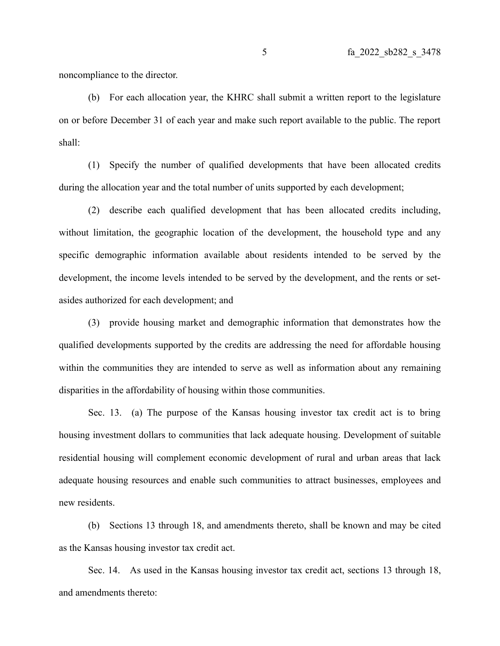noncompliance to the director.

(b) For each allocation year, the KHRC shall submit a written report to the legislature on or before December 31 of each year and make such report available to the public. The report shall:

(1) Specify the number of qualified developments that have been allocated credits during the allocation year and the total number of units supported by each development;

(2) describe each qualified development that has been allocated credits including, without limitation, the geographic location of the development, the household type and any specific demographic information available about residents intended to be served by the development, the income levels intended to be served by the development, and the rents or setasides authorized for each development; and

(3) provide housing market and demographic information that demonstrates how the qualified developments supported by the credits are addressing the need for affordable housing within the communities they are intended to serve as well as information about any remaining disparities in the affordability of housing within those communities.

Sec. 13. (a) The purpose of the Kansas housing investor tax credit act is to bring housing investment dollars to communities that lack adequate housing. Development of suitable residential housing will complement economic development of rural and urban areas that lack adequate housing resources and enable such communities to attract businesses, employees and new residents.

(b) Sections 13 through 18, and amendments thereto, shall be known and may be cited as the Kansas housing investor tax credit act.

Sec. 14. As used in the Kansas housing investor tax credit act, sections 13 through 18, and amendments thereto: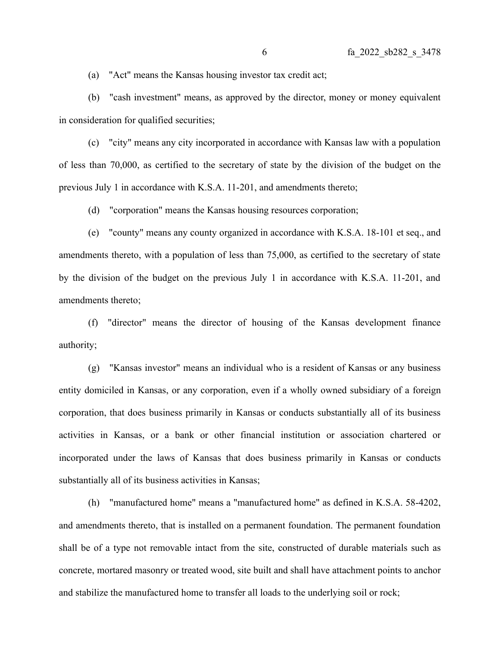(a) "Act" means the Kansas housing investor tax credit act;

(b) "cash investment" means, as approved by the director, money or money equivalent in consideration for qualified securities;

(c) "city" means any city incorporated in accordance with Kansas law with a population of less than 70,000, as certified to the secretary of state by the division of the budget on the previous July 1 in accordance with K.S.A. 11-201, and amendments thereto;

(d) "corporation" means the Kansas housing resources corporation;

(e) "county" means any county organized in accordance with K.S.A. 18-101 et seq., and amendments thereto, with a population of less than 75,000, as certified to the secretary of state by the division of the budget on the previous July 1 in accordance with K.S.A. 11-201, and amendments thereto;

(f) "director" means the director of housing of the Kansas development finance authority;

(g) "Kansas investor" means an individual who is a resident of Kansas or any business entity domiciled in Kansas, or any corporation, even if a wholly owned subsidiary of a foreign corporation, that does business primarily in Kansas or conducts substantially all of its business activities in Kansas, or a bank or other financial institution or association chartered or incorporated under the laws of Kansas that does business primarily in Kansas or conducts substantially all of its business activities in Kansas;

(h) "manufactured home" means a "manufactured home" as defined in K.S.A. 58-4202, and amendments thereto, that is installed on a permanent foundation. The permanent foundation shall be of a type not removable intact from the site, constructed of durable materials such as concrete, mortared masonry or treated wood, site built and shall have attachment points to anchor and stabilize the manufactured home to transfer all loads to the underlying soil or rock;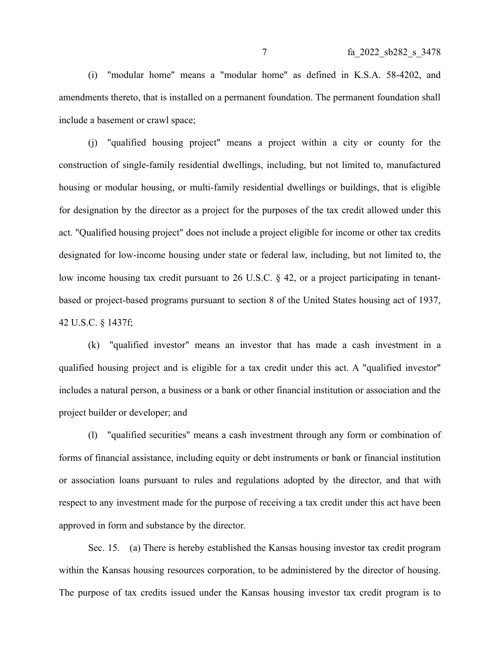(i) "modular home" means a "modular home" as defined in K.S.A. 58-4202, and amendments thereto, that is installed on a permanent foundation. The permanent foundation shall include a basement or crawl space;

(j) "qualified housing project" means a project within a city or county for the construction of single-family residential dwellings, including, but not limited to, manufactured housing or modular housing, or multi-family residential dwellings or buildings, that is eligible for designation by the director as a project for the purposes of the tax credit allowed under this act. "Qualified housing project" does not include a project eligible for income or other tax credits designated for low-income housing under state or federal law, including, but not limited to, the low income housing tax credit pursuant to 26 U.S.C. § 42, or a project participating in tenantbased or project-based programs pursuant to section 8 of the United States housing act of 1937, 42 U.S.C. § 1437f;

(k) "qualified investor" means an investor that has made a cash investment in a qualified housing project and is eligible for a tax credit under this act. A "qualified investor" includes a natural person, a business or a bank or other financial institution or association and the project builder or developer; and

(l) "qualified securities" means a cash investment through any form or combination of forms of financial assistance, including equity or debt instruments or bank or financial institution or association loans pursuant to rules and regulations adopted by the director, and that with respect to any investment made for the purpose of receiving a tax credit under this act have been approved in form and substance by the director.

Sec. 15. (a) There is hereby established the Kansas housing investor tax credit program within the Kansas housing resources corporation, to be administered by the director of housing. The purpose of tax credits issued under the Kansas housing investor tax credit program is to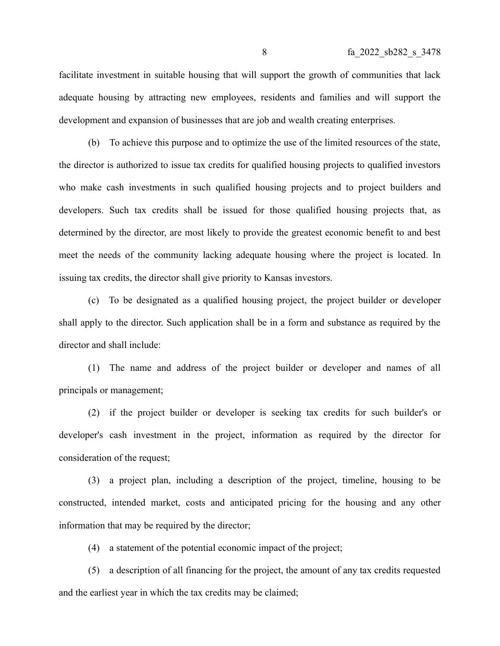facilitate investment in suitable housing that will support the growth of communities that lack adequate housing by attracting new employees, residents and families and will support the development and expansion of businesses that are job and wealth creating enterprises.

(b) To achieve this purpose and to optimize the use of the limited resources of the state, the director is authorized to issue tax credits for qualified housing projects to qualified investors who make cash investments in such qualified housing projects and to project builders and developers. Such tax credits shall be issued for those qualified housing projects that, as determined by the director, are most likely to provide the greatest economic benefit to and best meet the needs of the community lacking adequate housing where the project is located. In issuing tax credits, the director shall give priority to Kansas investors.

(c) To be designated as a qualified housing project, the project builder or developer shall apply to the director. Such application shall be in a form and substance as required by the director and shall include:

(1) The name and address of the project builder or developer and names of all principals or management;

(2) if the project builder or developer is seeking tax credits for such builder's or developer's cash investment in the project, information as required by the director for consideration of the request;

(3) a project plan, including a description of the project, timeline, housing to be constructed, intended market, costs and anticipated pricing for the housing and any other information that may be required by the director;

(4) a statement of the potential economic impact of the project;

(5) a description of all financing for the project, the amount of any tax credits requested and the earliest year in which the tax credits may be claimed;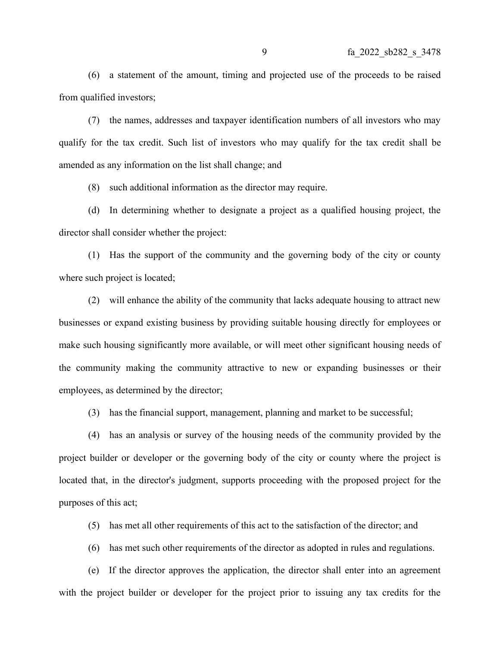(6) a statement of the amount, timing and projected use of the proceeds to be raised from qualified investors;

(7) the names, addresses and taxpayer identification numbers of all investors who may qualify for the tax credit. Such list of investors who may qualify for the tax credit shall be amended as any information on the list shall change; and

(8) such additional information as the director may require.

(d) In determining whether to designate a project as a qualified housing project, the director shall consider whether the project:

(1) Has the support of the community and the governing body of the city or county where such project is located;

(2) will enhance the ability of the community that lacks adequate housing to attract new businesses or expand existing business by providing suitable housing directly for employees or make such housing significantly more available, or will meet other significant housing needs of the community making the community attractive to new or expanding businesses or their employees, as determined by the director;

(3) has the financial support, management, planning and market to be successful;

(4) has an analysis or survey of the housing needs of the community provided by the project builder or developer or the governing body of the city or county where the project is located that, in the director's judgment, supports proceeding with the proposed project for the purposes of this act;

(5) has met all other requirements of this act to the satisfaction of the director; and

(6) has met such other requirements of the director as adopted in rules and regulations.

(e) If the director approves the application, the director shall enter into an agreement with the project builder or developer for the project prior to issuing any tax credits for the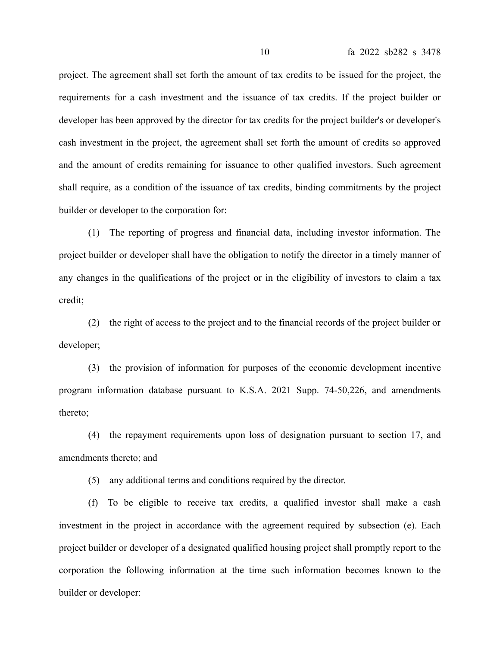project. The agreement shall set forth the amount of tax credits to be issued for the project, the requirements for a cash investment and the issuance of tax credits. If the project builder or developer has been approved by the director for tax credits for the project builder's or developer's cash investment in the project, the agreement shall set forth the amount of credits so approved and the amount of credits remaining for issuance to other qualified investors. Such agreement shall require, as a condition of the issuance of tax credits, binding commitments by the project builder or developer to the corporation for:

(1) The reporting of progress and financial data, including investor information. The project builder or developer shall have the obligation to notify the director in a timely manner of any changes in the qualifications of the project or in the eligibility of investors to claim a tax credit;

(2) the right of access to the project and to the financial records of the project builder or developer;

(3) the provision of information for purposes of the economic development incentive program information database pursuant to K.S.A. 2021 Supp. 74-50,226, and amendments thereto;

(4) the repayment requirements upon loss of designation pursuant to section 17, and amendments thereto; and

(5) any additional terms and conditions required by the director.

(f) To be eligible to receive tax credits, a qualified investor shall make a cash investment in the project in accordance with the agreement required by subsection (e). Each project builder or developer of a designated qualified housing project shall promptly report to the corporation the following information at the time such information becomes known to the builder or developer: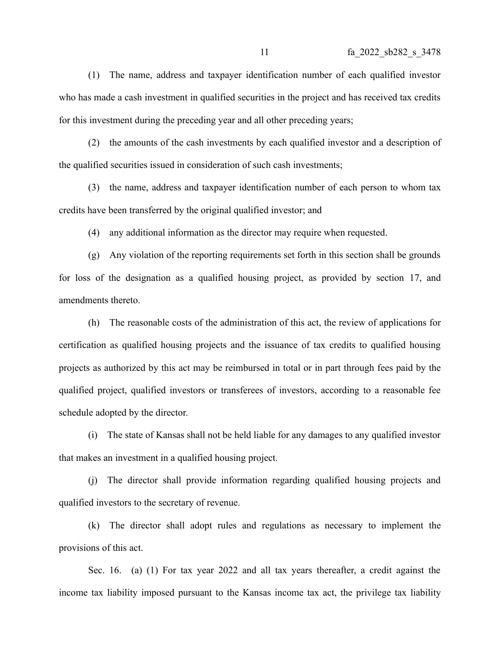(1) The name, address and taxpayer identification number of each qualified investor who has made a cash investment in qualified securities in the project and has received tax credits for this investment during the preceding year and all other preceding years;

(2) the amounts of the cash investments by each qualified investor and a description of the qualified securities issued in consideration of such cash investments;

(3) the name, address and taxpayer identification number of each person to whom tax credits have been transferred by the original qualified investor; and

(4) any additional information as the director may require when requested.

(g) Any violation of the reporting requirements set forth in this section shall be grounds for loss of the designation as a qualified housing project, as provided by section 17, and amendments thereto.

(h) The reasonable costs of the administration of this act, the review of applications for certification as qualified housing projects and the issuance of tax credits to qualified housing projects as authorized by this act may be reimbursed in total or in part through fees paid by the qualified project, qualified investors or transferees of investors, according to a reasonable fee schedule adopted by the director.

(i) The state of Kansas shall not be held liable for any damages to any qualified investor that makes an investment in a qualified housing project.

(j) The director shall provide information regarding qualified housing projects and qualified investors to the secretary of revenue.

(k) The director shall adopt rules and regulations as necessary to implement the provisions of this act.

Sec. 16. (a) (1) For tax year 2022 and all tax years thereafter, a credit against the income tax liability imposed pursuant to the Kansas income tax act, the privilege tax liability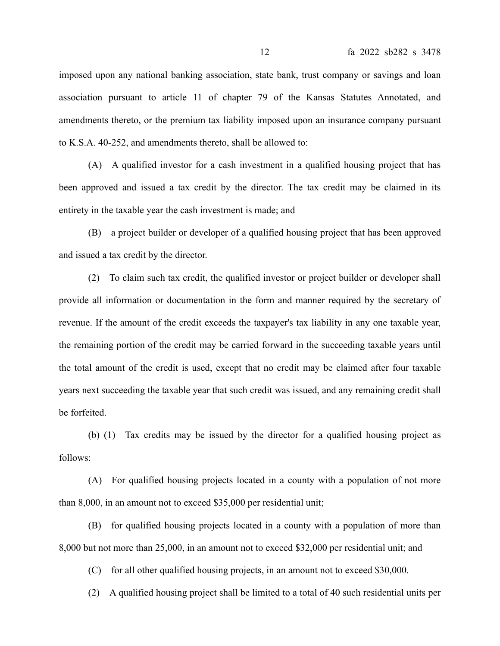imposed upon any national banking association, state bank, trust company or savings and loan association pursuant to article 11 of chapter 79 of the Kansas Statutes Annotated, and amendments thereto, or the premium tax liability imposed upon an insurance company pursuant to K.S.A. 40-252, and amendments thereto, shall be allowed to:

(A) A qualified investor for a cash investment in a qualified housing project that has been approved and issued a tax credit by the director. The tax credit may be claimed in its entirety in the taxable year the cash investment is made; and

(B) a project builder or developer of a qualified housing project that has been approved and issued a tax credit by the director.

(2) To claim such tax credit, the qualified investor or project builder or developer shall provide all information or documentation in the form and manner required by the secretary of revenue. If the amount of the credit exceeds the taxpayer's tax liability in any one taxable year, the remaining portion of the credit may be carried forward in the succeeding taxable years until the total amount of the credit is used, except that no credit may be claimed after four taxable years next succeeding the taxable year that such credit was issued, and any remaining credit shall be forfeited.

(b) (1) Tax credits may be issued by the director for a qualified housing project as follows:

(A) For qualified housing projects located in a county with a population of not more than 8,000, in an amount not to exceed \$35,000 per residential unit;

(B) for qualified housing projects located in a county with a population of more than 8,000 but not more than 25,000, in an amount not to exceed \$32,000 per residential unit; and

(C) for all other qualified housing projects, in an amount not to exceed \$30,000.

(2) A qualified housing project shall be limited to a total of 40 such residential units per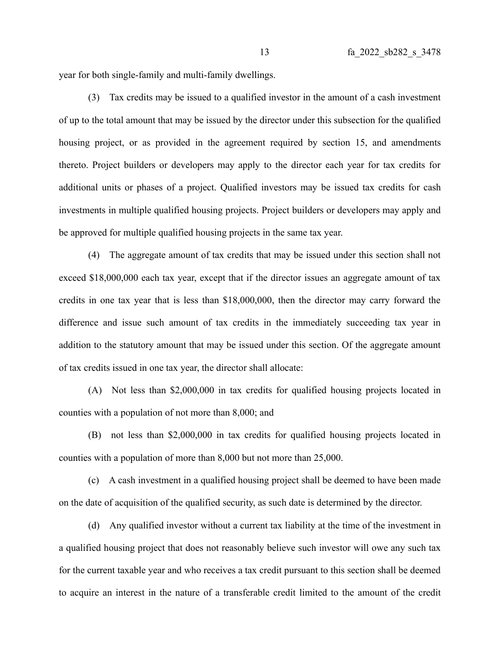year for both single-family and multi-family dwellings.

(3) Tax credits may be issued to a qualified investor in the amount of a cash investment of up to the total amount that may be issued by the director under this subsection for the qualified housing project, or as provided in the agreement required by section 15, and amendments thereto. Project builders or developers may apply to the director each year for tax credits for additional units or phases of a project. Qualified investors may be issued tax credits for cash investments in multiple qualified housing projects. Project builders or developers may apply and be approved for multiple qualified housing projects in the same tax year.

(4) The aggregate amount of tax credits that may be issued under this section shall not exceed \$18,000,000 each tax year, except that if the director issues an aggregate amount of tax credits in one tax year that is less than \$18,000,000, then the director may carry forward the difference and issue such amount of tax credits in the immediately succeeding tax year in addition to the statutory amount that may be issued under this section. Of the aggregate amount of tax credits issued in one tax year, the director shall allocate:

(A) Not less than \$2,000,000 in tax credits for qualified housing projects located in counties with a population of not more than 8,000; and

(B) not less than \$2,000,000 in tax credits for qualified housing projects located in counties with a population of more than 8,000 but not more than 25,000.

(c) A cash investment in a qualified housing project shall be deemed to have been made on the date of acquisition of the qualified security, as such date is determined by the director.

(d) Any qualified investor without a current tax liability at the time of the investment in a qualified housing project that does not reasonably believe such investor will owe any such tax for the current taxable year and who receives a tax credit pursuant to this section shall be deemed to acquire an interest in the nature of a transferable credit limited to the amount of the credit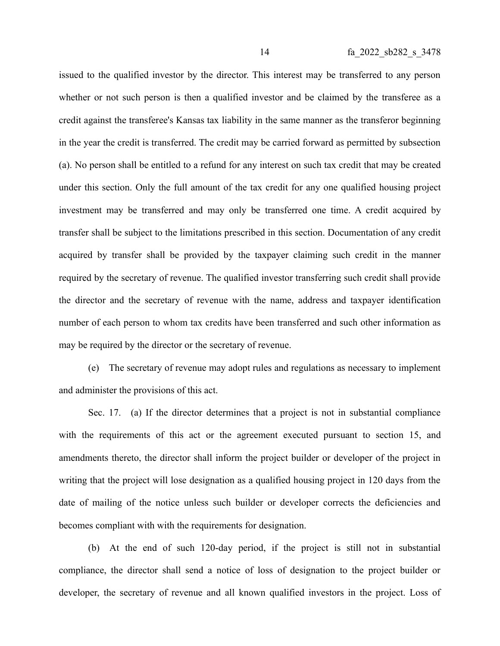issued to the qualified investor by the director. This interest may be transferred to any person whether or not such person is then a qualified investor and be claimed by the transferee as a credit against the transferee's Kansas tax liability in the same manner as the transferor beginning in the year the credit is transferred. The credit may be carried forward as permitted by subsection (a). No person shall be entitled to a refund for any interest on such tax credit that may be created under this section. Only the full amount of the tax credit for any one qualified housing project investment may be transferred and may only be transferred one time. A credit acquired by transfer shall be subject to the limitations prescribed in this section. Documentation of any credit acquired by transfer shall be provided by the taxpayer claiming such credit in the manner required by the secretary of revenue. The qualified investor transferring such credit shall provide the director and the secretary of revenue with the name, address and taxpayer identification number of each person to whom tax credits have been transferred and such other information as may be required by the director or the secretary of revenue.

(e) The secretary of revenue may adopt rules and regulations as necessary to implement and administer the provisions of this act.

Sec. 17. (a) If the director determines that a project is not in substantial compliance with the requirements of this act or the agreement executed pursuant to section 15, and amendments thereto, the director shall inform the project builder or developer of the project in writing that the project will lose designation as a qualified housing project in 120 days from the date of mailing of the notice unless such builder or developer corrects the deficiencies and becomes compliant with with the requirements for designation.

(b) At the end of such 120-day period, if the project is still not in substantial compliance, the director shall send a notice of loss of designation to the project builder or developer, the secretary of revenue and all known qualified investors in the project. Loss of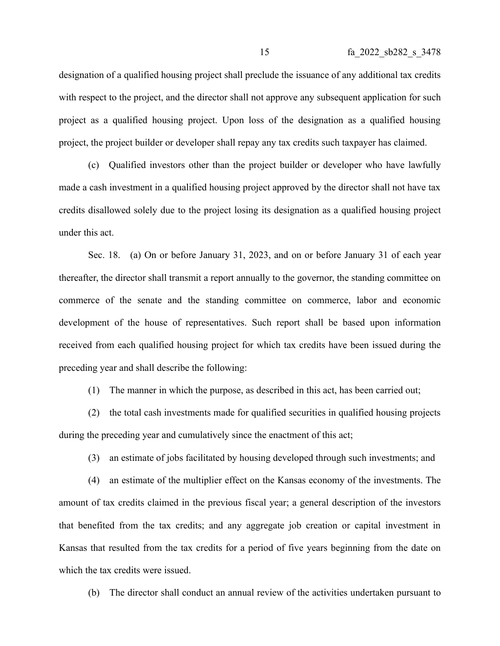designation of a qualified housing project shall preclude the issuance of any additional tax credits with respect to the project, and the director shall not approve any subsequent application for such project as a qualified housing project. Upon loss of the designation as a qualified housing project, the project builder or developer shall repay any tax credits such taxpayer has claimed.

(c) Qualified investors other than the project builder or developer who have lawfully made a cash investment in a qualified housing project approved by the director shall not have tax credits disallowed solely due to the project losing its designation as a qualified housing project under this act.

Sec. 18. (a) On or before January 31, 2023, and on or before January 31 of each year thereafter, the director shall transmit a report annually to the governor, the standing committee on commerce of the senate and the standing committee on commerce, labor and economic development of the house of representatives. Such report shall be based upon information received from each qualified housing project for which tax credits have been issued during the preceding year and shall describe the following:

(1) The manner in which the purpose, as described in this act, has been carried out;

(2) the total cash investments made for qualified securities in qualified housing projects during the preceding year and cumulatively since the enactment of this act;

(3) an estimate of jobs facilitated by housing developed through such investments; and

(4) an estimate of the multiplier effect on the Kansas economy of the investments. The amount of tax credits claimed in the previous fiscal year; a general description of the investors that benefited from the tax credits; and any aggregate job creation or capital investment in Kansas that resulted from the tax credits for a period of five years beginning from the date on which the tax credits were issued.

(b) The director shall conduct an annual review of the activities undertaken pursuant to